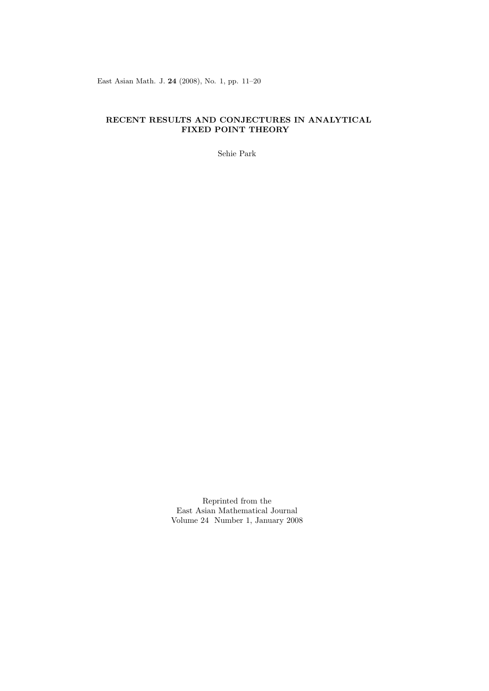East Asian Math. J. **24** (2008), No. 1, pp. 11–20

# **RECENT RESULTS AND CONJECTURES IN ANALYTICAL FIXED POINT THEORY**

Sehie Park

Reprinted from the East Asian Mathematical Journal Volume 24 Number 1, January 2008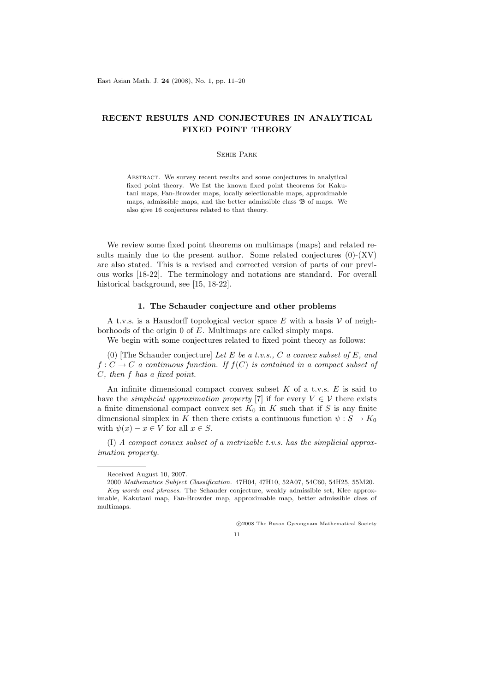# **RECENT RESULTS AND CONJECTURES IN ANALYTICAL FIXED POINT THEORY**

#### Sehie Park

Abstract. We survey recent results and some conjectures in analytical fixed point theory. We list the known fixed point theorems for Kakutani maps, Fan-Browder maps, locally selectionable maps, approximable maps, admissible maps, and the better admissible class  $\mathfrak B$  of maps. We also give 16 conjectures related to that theory.

We review some fixed point theorems on multimaps (maps) and related results mainly due to the present author. Some related conjectures  $(0)$ - $(XV)$ are also stated. This is a revised and corrected version of parts of our previous works [18-22]. The terminology and notations are standard. For overall historical background, see [15, 18-22].

# **1. The Schauder conjecture and other problems**

A t.v.s. is a Hausdorff topological vector space  $E$  with a basis  $V$  of neighborhoods of the origin 0 of *E*. Multimaps are called simply maps.

We begin with some conjectures related to fixed point theory as follows:

(0) [The Schauder conjecture] *Let E be a t.v.s., C a convex subset of E, and*  $f: C \to C$  *a continuous function. If*  $f(C)$  *is contained in a compact subset of C, then f has a fixed point.*

An infinite dimensional compact convex subset *K* of a t.v.s. *E* is said to have the *simplicial approximation property* [7] if for every  $V \in \mathcal{V}$  there exists a finite dimensional compact convex set  $K_0$  in  $K$  such that if  $S$  is any finite dimensional simplex in *K* then there exists a continuous function  $\psi : S \to K_0$ with  $\psi(x) - x \in V$  for all  $x \in S$ .

(I) *A compact convex subset of a metrizable t.v.s. has the simplicial approximation property.*

*⃝*c 2008 The Busan Gyeongnam Mathematical Society



Received August 10, 2007.

<sup>2000</sup> *Mathematics Subject Classification.* 47H04, 47H10, 52A07, 54C60, 54H25, 55M20.

*Key words and phrases.* The Schauder conjecture, weakly admissible set, Klee approximable, Kakutani map, Fan-Browder map, approximable map, better admissible class of multimaps.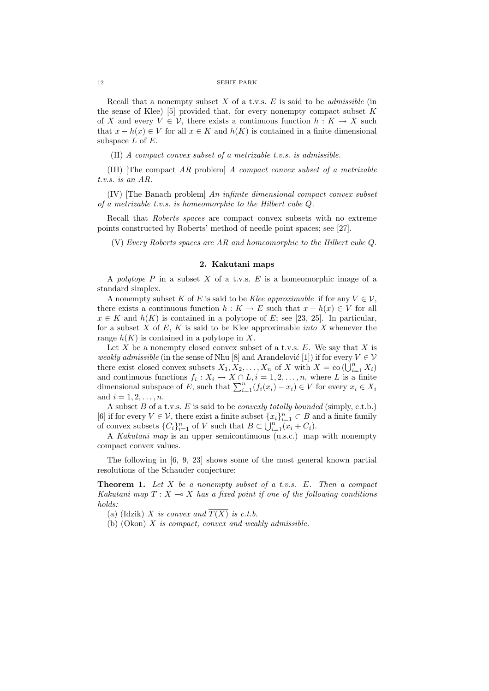#### 12 SEHIE PARK

Recall that a nonempty subset *X* of a t.v.s. *E* is said to be *admissible* (in the sense of Klee) [5] provided that, for every nonempty compact subset *K* of *X* and every  $V \in V$ , there exists a continuous function  $h: K \to X$  such that  $x - h(x) \in V$  for all  $x \in K$  and  $h(K)$  is contained in a finite dimensional subspace *L* of *E*.

(II) *A compact convex subset of a metrizable t.v.s. is admissible.*

(III) [The compact *AR* problem] *A compact convex subset of a metrizable t.v.s. is an AR.*

(IV) [The Banach problem] *An infinite dimensional compact convex subset of a metrizable t.v.s. is homeomorphic to the Hilbert cube Q.*

Recall that *Roberts spaces* are compact convex subsets with no extreme points constructed by Roberts' method of needle point spaces; see [27].

(V) *Every Roberts spaces are AR and homeomorphic to the Hilbert cube Q*.

# **2. Kakutani maps**

A *polytope P* in a subset *X* of a t.v.s. *E* is a homeomorphic image of a standard simplex.

A nonempty subset K of E is said to be Klee approximable if for any  $V \in \mathcal{V}$ , there exists a continuous function  $h: K \to E$  such that  $x - h(x) \in V$  for all  $x \in K$  and  $h(K)$  is contained in a polytope of *E*; see [23, 25]. In particular, for a subset *X* of *E*, *K* is said to be Klee approximable *into X* whenever the range  $h(K)$  is contained in a polytope in X.

Let *X* be a nonempty closed convex subset of a t.v.s. *E*. We say that *X* is *weakly admissible* (in the sense of Nhu [8] and Arandelovic [1]) if for every  $V \in V$ there exist closed convex subsets  $X_1, X_2, \ldots, X_n$  of *X* with  $X = \text{co }(\bigcup_{i=1}^n X_i)$ and continuous functions  $f_i: X_i \to X \cap L, i = 1, 2, \ldots, n$ , where *L* is a finite dimensional subspace of *E*, such that  $\sum_{i=1}^{n} (f_i(x_i) - x_i) \in V$  for every  $x_i \in X_i$ and  $i = 1, 2, \ldots, n$ .

A subset *B* of a t.v.s. *E* is said to be *convexly totally bounded* (simply, c.t.b.) [6] if for every  $V \in \mathcal{V}$ , there exist a finite subset  $\{x_i\}_{i=1}^n \subset B$  and a finite family of convex subsets  ${C_i}_{i=1}^n$  of *V* such that  $B \subset \bigcup_{i=1}^n (x_i + C_i)$ .

A *Kakutani map* is an upper semicontinuous (u.s.c.) map with nonempty compact convex values.

The following in [6, 9, 23] shows some of the most general known partial resolutions of the Schauder conjecture:

**Theorem 1.** *Let X be a nonempty subset of a t.v.s. E. Then a compact Kakutani map*  $T: X \longrightarrow X$  *has a fixed point if one of the following conditions holds:*

(a) (Idzik) *X is convex and*  $\overline{T(X)}$  *is c.t.b.* 

(b) (Okon) *X is compact, convex and weakly admissible.*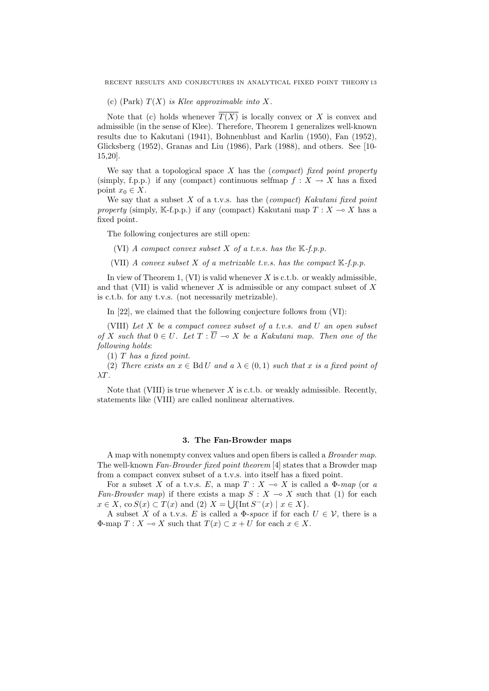RECENT RESULTS AND CONJECTURES IN ANALYTICAL FIXED POINT THEORY 13

(c) (Park) *T*(*X*) *is Klee approximable into X.*

Note that (c) holds whenever  $\overline{T(X)}$  is locally convex or X is convex and admissible (in the sense of Klee). Therefore, Theorem 1 generalizes well-known results due to Kakutani (1941), Bohnenblust and Karlin (1950), Fan (1952), Glicksberg (1952), Granas and Liu (1986), Park (1988), and others. See [10- 15,20].

We say that a topological space *X* has the (*compact*) *fixed point property* (simply, f.p.p.) if any (compact) continuous selfmap  $f: X \to X$  has a fixed point  $x_0 \in X$ .

We say that a subset *X* of a t.v.s. has the (*compact*) *Kakutani fixed point property* (simply, K-f.p.p.) if any (compact) Kakutani map  $T : X \to X$  has a fixed point.

The following conjectures are still open:

(VI) *A compact convex subset*  $X$  *of a t.v.s. has the*  $K$ -*f.p.p.* 

(VII) *A convex subset*  $X$  *of a metrizable t.v.s. has the compact*  $K$ -*f.p.p.* 

In view of Theorem 1, (VI) is valid whenever *X* is c.t.b. or weakly admissible, and that (VII) is valid whenever *X* is admissible or any compact subset of *X* is c.t.b. for any t.v.s. (not necessarily metrizable).

In [22], we claimed that the following conjecture follows from (VI):

(VIII) *Let X be a compact convex subset of a t.v.s. and U an open subset of X such that*  $0 \in U$ *. Let*  $T : \overline{U} \multimap X$  *be a Kakutani map. Then one of the following holds*:

(1) *T has a fixed point.*

(2) *There exists an*  $x \in \text{Bd}U$  *and*  $a \lambda \in (0,1)$  *such that*  $x$  *is a fixed point of λT.*

Note that (VIII) is true whenever  $X$  is c.t.b. or weakly admissible. Recently, statements like (VIII) are called nonlinear alternatives.

### **3. The Fan-Browder maps**

A map with nonempty convex values and open fibers is called a *Browder map*. The well-known *Fan-Browder fixed point theorem* [4] states that a Browder map from a compact convex subset of a t.v.s. into itself has a fixed point.

For a subset *X* of a t.v.s. *E*, a map  $T : X \to X$  is called a  $\Phi$ -*map* (or *a Fan-Browder map*) if there exists a map  $S: X \rightarrow X$  such that (1) for each  $x \in X$ , co  $S(x) \subset T(x)$  and (2)  $X = \bigcup \{ \text{Int } S^{-}(x) \mid x \in X \}.$ 

A subset *X* of a t.v.s. *E* is called a  $\Phi$ -*space* if for each  $U \in \mathcal{V}$ , there is a  $\Phi$ -map  $T: X \to X$  such that  $T(x) \subset x + U$  for each  $x \in X$ .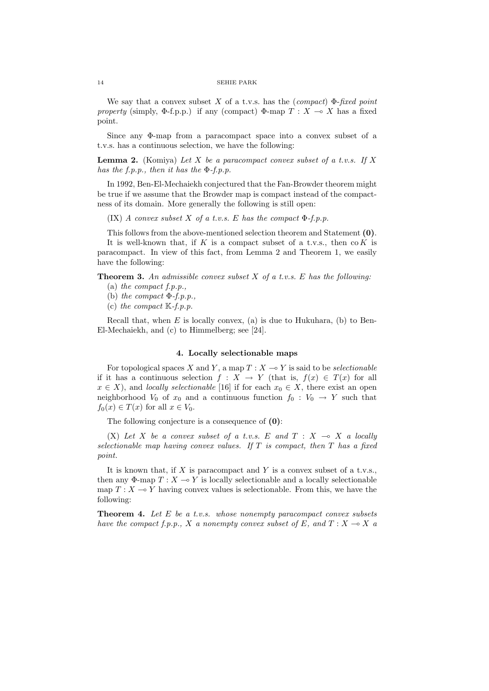#### 14 SEHIE PARK

We say that a convex subset *X* of a t.v.s. has the (*compact*) Φ-*fixed point property* (simply,  $\Phi$ -f.p.p.) if any (compact)  $\Phi$ -map *T* : *X*  $\multimap$  *X* has a fixed point.

Since any Φ-map from a paracompact space into a convex subset of a t.v.s. has a continuous selection, we have the following:

**Lemma 2.** (Komiya) *Let X be a paracompact convex subset of a t.v.s. If X has the f.p.p., then it has the* Φ*-f.p.p.*

In 1992, Ben-El-Mechaiekh conjectured that the Fan-Browder theorem might be true if we assume that the Browder map is compact instead of the compactness of its domain. More generally the following is still open:

(IX) *A convex subset X of a t.v.s. E has the compact* Φ*-f.p.p.*

This follows from the above-mentioned selection theorem and Statement **(0)**. It is well-known that, if *K* is a compact subset of a t.v.s., then co *K* is

paracompact. In view of this fact, from Lemma 2 and Theorem 1, we easily have the following:

**Theorem 3.** *An admissible convex subset X of a t.v.s. E has the following:*

- (a) *the compact f.p.p.,*
- (b) *the compact* Φ*-f.p.p.,*
- (c) *the compact* K*-f.p.p.*

Recall that, when *E* is locally convex, (a) is due to Hukuhara, (b) to Ben-El-Mechaiekh, and (c) to Himmelberg; see [24].

#### **4. Locally selectionable maps**

For topological spaces *X* and *Y*, a map  $T : X \rightarrow Y$  is said to be *selectionable* if it has a continuous selection  $f: X \to Y$  (that is,  $f(x) \in T(x)$  for all  $x \in X$ , and *locally selectionable* [16] if for each  $x_0 \in X$ , there exist an open neighborhood  $V_0$  of  $x_0$  and a continuous function  $f_0: V_0 \to Y$  such that  $f_0(x) \in T(x)$  for all  $x \in V_0$ .

The following conjecture is a consequence of **(0)**:

(X) Let X be a convex subset of a t.v.s. E and  $T : X \rightarrow X$  a locally *selectionable map having convex values. If T is compact, then T has a fixed point.*

It is known that, if *X* is paracompact and *Y* is a convex subset of a t.v.s., then any  $\Phi$ -map  $T : X \to Y$  is locally selectionable and a locally selectionable map  $T : X \longrightarrow Y$  having convex values is selectionable. From this, we have the following:

**Theorem 4.** *Let E be a t.v.s. whose nonempty paracompact convex subsets have the compact f.p.p., X a nonempty convex subset of E, and*  $T : X \to X$  *a*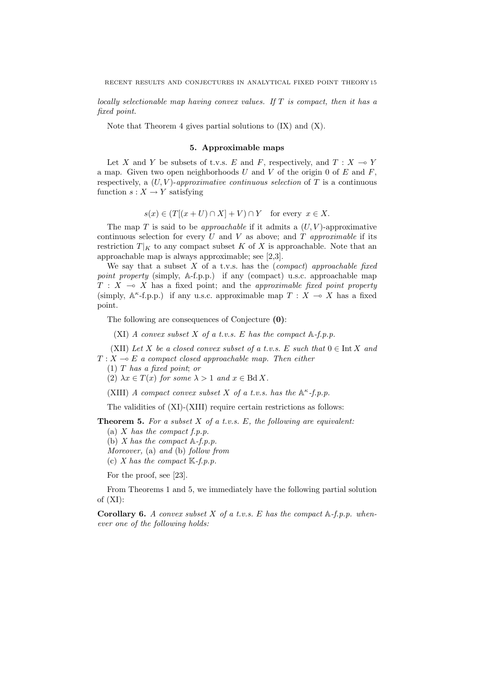*locally selectionable map having convex values. If T is compact, then it has a fixed point.*

Note that Theorem 4 gives partial solutions to  $(IX)$  and  $(X)$ .

# **5. Approximable maps**

Let *X* and *Y* be subsets of t.v.s. *E* and *F*, respectively, and  $T : X \to Y$ a map. Given two open neighborhoods *U* and *V* of the origin 0 of *E* and *F*, respectively, a  $(U, V)$ -*approximative continuous selection* of T is a continuous function  $s: X \to Y$  satisfying

 $s(x) \in (T[(x+U) \cap X] + V) \cap Y$  for every  $x \in X$ .

The map  $T$  is said to be *approachable* if it admits a  $(U, V)$ -approximative continuous selection for every  $U$  and  $V$  as above; and  $T$  *approximable* if its restriction  $T|_K$  to any compact subset K of X is approachable. Note that an approachable map is always approximable; see [2,3].

We say that a subset *X* of a t.v.s. has the (*compact*) *approachable fixed point property* (simply, A-f.p.p.) if any (compact) u.s.c. approachable map  $T : X \rightarrow X$  has a fixed point; and the *approximable fixed point property* (simply,  $\mathbb{A}^{\kappa}$ -f.p.p.) if any u.s.c. approximable map  $T : X \multimap X$  has a fixed point.

The following are consequences of Conjecture **(0)**:

(XI) *A convex subset X of a t.v.s. E has the compact* A*-f.p.p.*

(XII) Let *X* be a closed convex subset of a t.v.s. *E* such that  $0 \in \text{Int } X$  and  $T: X \rightarrow E$  *a compact closed approachable map. Then either* 

(1) *T has a fixed point*; *or*

(2)  $\lambda x \in T(x)$  for some  $\lambda > 1$  and  $x \in \text{Bd } X$ .

(XIII) *A compact convex subset X of a t.v.s. has the*  $\mathbb{A}^{\kappa}$ -*f.p.p.* 

The validities of (XI)-(XIII) require certain restrictions as follows:

**Theorem 5.** *For a subset X of a t.v.s. E, the following are equivalent:*

- (a) *X has the compact f.p.p.*
- (b) *X has the compact* A*-f.p.p.*
- *Moreover,* (a) *and* (b) *follow from*
- (c) *X has the compact* K*-f.p.p.*

For the proof, see [23].

From Theorems 1 and 5, we immediately have the following partial solution of (XI):

**Corollary 6.** *A convex subset X of a t.v.s. E has the compact* A*-f.p.p. whenever one of the following holds:*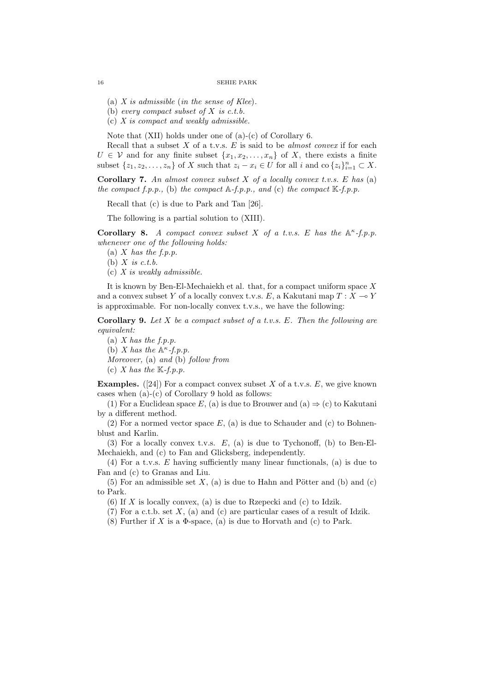(a) *X is admissible* (*in the sense of Klee*)*.*

(b) *every compact subset of X is c.t.b.*

(c) *X is compact and weakly admissible.*

Note that (XII) holds under one of (a)-(c) of Corollary 6.

Recall that a subset *X* of a t.v.s. *E* is said to be *almost convex* if for each  $U \in V$  and for any finite subset  $\{x_1, x_2, \ldots, x_n\}$  of *X*, there exists a finite subset  $\{z_1, z_2, \ldots, z_n\}$  of X such that  $z_i - x_i \in U$  for all i and co $\{z_i\}_{i=1}^n \subset X$ .

**Corollary 7.** *An almost convex subset X of a locally convex t.v.s. E has* (a) *the compact f.p.p.,* (b) *the compact* A*-f.p.p., and* (c) *the compact* K*-f.p.p.*

Recall that (c) is due to Park and Tan [26].

The following is a partial solution to (XIII).

**Corollary 8.** *A compact convex subset X of a t.v.s. E has the* A *κ -f.p.p. whenever one of the following holds:*

(a) *X has the f.p.p.*

(b) *X is c.t.b.*

(c) *X is weakly admissible.*

It is known by Ben-El-Mechaiekh et al. that, for a compact uniform space *X* and a convex subset *Y* of a locally convex t.v.s. *E*, a Kakutani map  $T: X \rightarrow Y$ is approximable. For non-locally convex t.v.s., we have the following:

**Corollary 9.** *Let X be a compact subset of a t.v.s. E. Then the following are equivalent:*

(a) *X has the f.p.p.* (b) *X* has the  $\mathbb{A}^{\kappa}$ -f.p.p. *Moreover,* (a) *and* (b) *follow from* (c) *X* has the  $K-f.p.p.$ 

**Examples.** ([24]) For a compact convex subset *X* of a t.v.s.  $E$ , we give known cases when (a)-(c) of Corollary 9 hold as follows:

(1) For a Euclidean space *E*, (a) is due to Brouwer and (a)  $\Rightarrow$  (c) to Kakutani by a different method.

(2) For a normed vector space *E*, (a) is due to Schauder and (c) to Bohnenblust and Karlin.

(3) For a locally convex t.v.s. *E*, (a) is due to Tychonoff, (b) to Ben-El-Mechaiekh, and (c) to Fan and Glicksberg, independently.

(4) For a t.v.s. *E* having sufficiently many linear functionals, (a) is due to Fan and (c) to Granas and Liu.

 $(5)$  For an admissible set  $X$ ,  $(a)$  is due to Hahn and Pötter and  $(b)$  and  $(c)$ to Park.

(6) If *X* is locally convex, (a) is due to Rzepecki and (c) to Idzik.

(7) For a c.t.b. set *X*, (a) and (c) are particular cases of a result of Idzik.

(8) Further if *X* is a  $\Phi$ -space, (a) is due to Horvath and (c) to Park.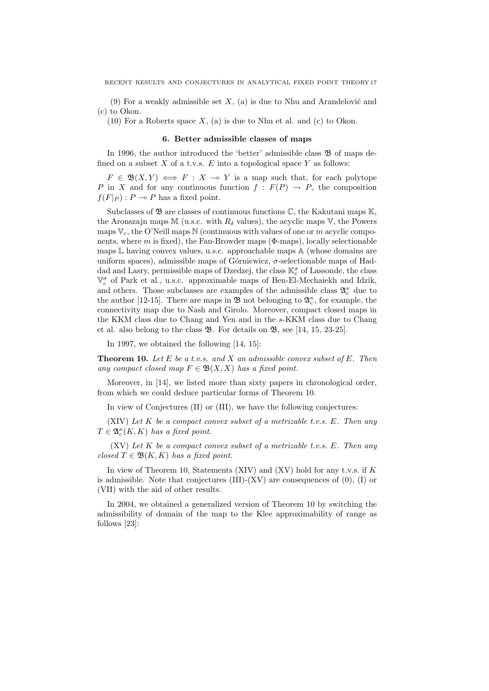(9) For a weakly admissible set  $X$ , (a) is due to Nhu and Arandelovic and (c) to Okon.

(10) For a Roberts space *X*, (a) is due to Nhu et al. and (c) to Okon.

#### **6. Better admissible classes of maps**

In 1996, the author introduced the 'better' admissible class  $\mathfrak{B}$  of maps defined on a subset  $X$  of a t.v.s.  $E$  into a topological space  $Y$  as follows:

 $F \in \mathfrak{B}(X,Y) \iff F : X \multimap Y$  is a map such that, for each polytope *P* in *X* and for any continuous function  $f : F(P) \rightarrow P$ , the composition  $f(F|_P)$ :  $P \multimap P$  has a fixed point.

Subclasses of  $\mathfrak{B}$  are classes of continuous functions  $\mathbb{C}$ , the Kakutani maps  $\mathbb{K}$ , the Aronszajn maps M (u.s.c. with  $R_\delta$  values), the acyclic maps V, the Powers maps  $V_c$ , the O'Neill maps N (continuous with values of one or *m* acyclic components, where  $m$  is fixed), the Fan-Browder maps ( $\Phi$ -maps), locally selectionable maps  $\mathbb L$  having convex values, u.s.c. approachable maps  $\mathbb A$  (whose domains are uniform spaces), admissible maps of Górniewicz,  $\sigma$ -selectionable maps of Haddad and Lasry, permissible maps of Dzedzej, the class K*<sup>σ</sup> <sup>c</sup>* of Lassonde, the class  $\mathbb{V}^{\sigma}_{c}$  of Park et al., u.s.c. approximable maps of Ben-El-Mechaiekh and Idzik, and others. Those subclasses are examples of the admissible class  $\mathfrak{A}^{\kappa}_c$  due to the author [12-15]. There are maps in  $\mathfrak{B}$  not belonging to  $\mathfrak{A}_{c}^{\kappa}$ , for example, the connectivity map due to Nash and Girolo. Moreover, compact closed maps in the KKM class due to Chang and Yen and in the *s*-KKM class due to Chang et al. also belong to the class B. For details on B, see [14, 15, 23-25].

In 1997, we obtained the following [14, 15]:

**Theorem 10.** *Let E be a t.v.s. and X an admissible convex subset of E. Then any compact closed map*  $F \in \mathfrak{B}(X,X)$  *has a fixed point.* 

Moreover, in [14], we listed more than sixty papers in chronological order, from which we could deduce particular forms of Theorem 10.

In view of Conjectures (II) or (III), we have the following conjectures:

(XIV) *Let K be a compact convex subset of a metrizable t.v.s. E. Then any*  $T \in \mathfrak{A}_c^{\kappa}(K,K)$  *has a fixed point.* 

(XV) *Let K be a compact convex subset of a metrizable t.v.s. E. Then any*  $closed T \in \mathfrak{B}(K,K)$  *has a fixed point.* 

In view of Theorem 10, Statements (XIV) and (XV) hold for any t.v.s. if *K* is admissible. Note that conjectures  $(III)-(XV)$  are consequences of  $(0)$ ,  $(I)$  or (VII) with the aid of other results.

In 2004, we obtained a generalized version of Theorem 10 by switching the admissibility of domain of the map to the Klee approximability of range as follows [23]: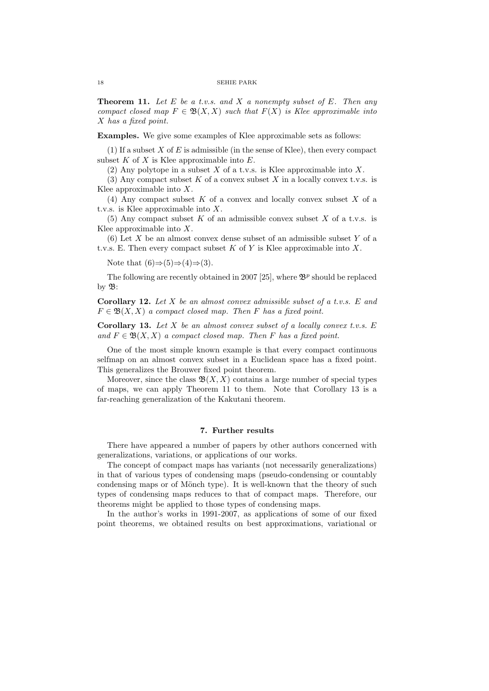**Theorem 11.** *Let E be a t.v.s. and X a nonempty subset of E. Then any compact closed map*  $F \in \mathfrak{B}(X,X)$  *such that*  $F(X)$  *is Klee approximable into X has a fixed point.*

Examples. We give some examples of Klee approximable sets as follows:

 $(1)$  If a subset *X* of *E* is admissible (in the sense of Klee), then every compact subset *K* of *X* is Klee approximable into *E*.

(2) Any polytope in a subset *X* of a t.v.s. is Klee approximable into *X*.

(3) Any compact subset *K* of a convex subset *X* in a locally convex t.v.s. is Klee approximable into *X*.

(4) Any compact subset *K* of a convex and locally convex subset *X* of a t.v.s. is Klee approximable into *X*.

(5) Any compact subset *K* of an admissible convex subset *X* of a t.v.s. is Klee approximable into *X*.

(6) Let *X* be an almost convex dense subset of an admissible subset *Y* of a t.v.s. E. Then every compact subset *K* of *Y* is Klee approximable into *X*.

Note that (6)*⇒*(5)*⇒*(4)*⇒*(3).

The following are recently obtained in 2007 [25], where  $\mathfrak{B}^p$  should be replaced by  $\mathfrak{B}$ :

**Corollary 12.** *Let X be an almost convex admissible subset of a t.v.s. E and*  $F \in \mathfrak{B}(X,X)$  *a compact closed map. Then F has a fixed point.* 

**Corollary 13.** *Let X be an almost convex subset of a locally convex t.v.s. E and*  $F \in \mathfrak{B}(X,X)$  *a compact closed map. Then F has a fixed point.* 

One of the most simple known example is that every compact continuous selfmap on an almost convex subset in a Euclidean space has a fixed point. This generalizes the Brouwer fixed point theorem.

Moreover, since the class  $\mathfrak{B}(X,X)$  contains a large number of special types of maps, we can apply Theorem 11 to them. Note that Corollary 13 is a far-reaching generalization of the Kakutani theorem.

# **7. Further results**

There have appeared a number of papers by other authors concerned with generalizations, variations, or applications of our works.

The concept of compact maps has variants (not necessarily generalizations) in that of various types of condensing maps (pseudo-condensing or countably condensing maps or of Mönch type). It is well-known that the theory of such types of condensing maps reduces to that of compact maps. Therefore, our theorems might be applied to those types of condensing maps.

In the author's works in 1991-2007, as applications of some of our fixed point theorems, we obtained results on best approximations, variational or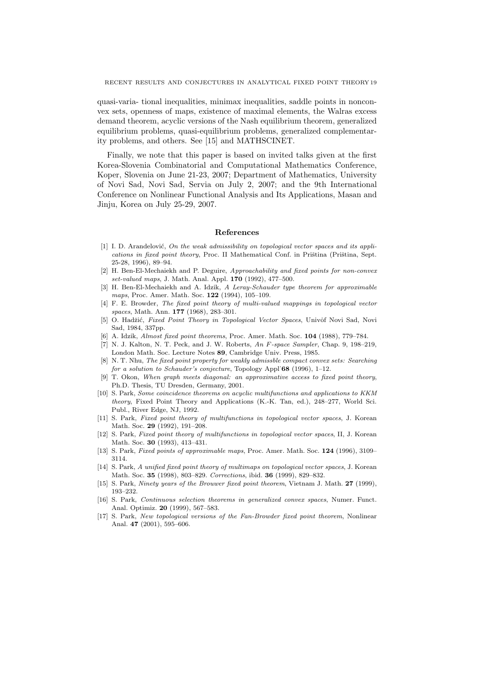quasi-varia- tional inequalities, minimax inequalities, saddle points in nonconvex sets, openness of maps, existence of maximal elements, the Walras excess demand theorem, acyclic versions of the Nash equilibrium theorem, generalized equilibrium problems, quasi-equilibrium problems, generalized complementarity problems, and others. See [15] and MATHSCINET.

Finally, we note that this paper is based on invited talks given at the first Korea-Slovenia Combinatorial and Computational Mathematics Conference, Koper, Slovenia on June 21-23, 2007; Department of Mathematics, University of Novi Sad, Novi Sad, Servia on July 2, 2007; and the 9th International Conference on Nonlinear Functional Analysis and Its Applications, Masan and Jinju, Korea on July 25-29, 2007.

### **References**

- [1] I. D. Arandelović, *On the weak admissibility on topological vector spaces and its applications in fixed point theory*, Proc. II Mathematical Conf. in Priština (Priština, Sept. 25-28, 1996), 89–94.
- [2] H. Ben-El-Mechaiekh and P. Deguire, *Approachability and fixed points for non-convex set-valued maps*, J. Math. Anal. Appl. **170** (1992), 477–500.
- [3] H. Ben-El-Mechaiekh and A. Idzik, *A Leray-Schauder type theorem for approximable maps*, Proc. Amer. Math. Soc. **122** (1994), 105–109.
- [4] F. E. Browder, *The fixed point theory of multi-valued mappings in topological vector spaces*, Math. Ann. **177** (1968), 283–301.
- [5] O. Hadžić, *Fixed Point Theory in Topological Vector Spaces*, Univor Novi Sad, Novi Sad, 1984, 337pp.
- [6] A. Idzik, *Almost fixed point theorems*, Proc. Amer. Math. Soc. **104** (1988), 779–784.
- [7] N. J. Kalton, N. T. Peck, and J. W. Roberts, *An F-space Sampler*, Chap. 9, 198–219, London Math. Soc. Lecture Notes **89**, Cambridge Univ. Press, 1985.
- [8] N. T. Nhu, *The fixed point property for weakly admissble compact convex sets: Searching for a solution to Schauder's conjecture*, Topology Appl˙**68** (1996), 1–12.
- [9] T. Okon, *When graph meets diagonal: an approximative access to fixed point theory*, Ph.D. Thesis, TU Dresden, Germany, 2001.
- [10] S. Park, *Some coincidence theorems on acyclic multifunctions and applications to KKM theory*, Fixed Point Theory and Applications (K.-K. Tan, ed.), 248–277, World Sci. Publ., River Edge, NJ, 1992.
- [11] S. Park, *Fixed point theory of multifunctions in topological vector spaces*, J. Korean Math. Soc. **29** (1992), 191–208.
- [12] S. Park, *Fixed point theory of multifunctions in topological vector spaces*, II, J. Korean Math. Soc. **30** (1993), 413–431.
- [13] S. Park, *Fixed points of approximable maps*, Proc. Amer. Math. Soc. **124** (1996), 3109– 3114.
- [14] S. Park, *A unified fixed point theory of multimaps on topological vector spaces*, J. Korean Math. Soc. **35** (1998), 803–829. *Corrections*, ibid. **36** (1999), 829–832.
- [15] S. Park, *Ninety years of the Brouwer fixed point theorem*, Vietnam J. Math. **27** (1999), 193–232.
- [16] S. Park, *Continuous selection theorems in generalized convex spaces*, Numer. Funct. Anal. Optimiz. **20** (1999), 567–583.
- [17] S. Park, *New topological versions of the Fan-Browder fixed point theorem*, Nonlinear Anal. **47** (2001), 595–606.